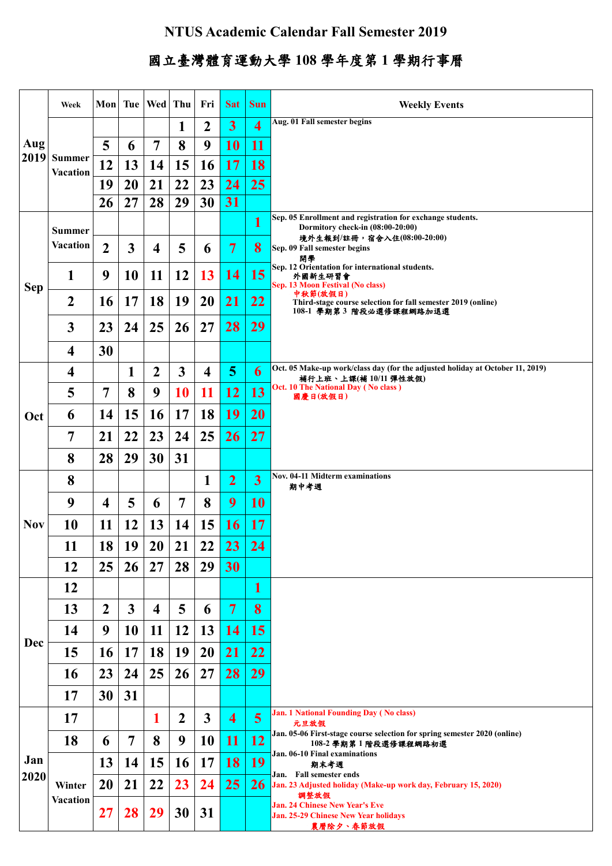## **NTUS Academic Calendar Fall Semester 2019**

## 國立臺灣體育運動大學 **108** 學年度第 **1** 學期行事曆

|             | Week                             |                |                         | Mon   Tue   Wed   Thu   |                  | Fri                     | <b>Sat</b>              | <b>Sun</b>              | <b>Weekly Events</b>                                                                                                                                                                                                                                                                                                                                                        |
|-------------|----------------------------------|----------------|-------------------------|-------------------------|------------------|-------------------------|-------------------------|-------------------------|-----------------------------------------------------------------------------------------------------------------------------------------------------------------------------------------------------------------------------------------------------------------------------------------------------------------------------------------------------------------------------|
| Aug<br>2019 |                                  |                |                         |                         | 1                | $\boldsymbol{2}$        | $\overline{\mathbf{3}}$ | $\overline{\mathbf{4}}$ | Aug. 01 Fall semester begins                                                                                                                                                                                                                                                                                                                                                |
|             | <b>Summer</b><br><b>Vacation</b> | 5              | 6                       | 7                       | 8                | 9                       | <b>10</b>               | 11                      |                                                                                                                                                                                                                                                                                                                                                                             |
|             |                                  | 12             | 13                      | 14                      | 15               | 16                      | <b>17</b>               | 18                      |                                                                                                                                                                                                                                                                                                                                                                             |
|             |                                  | 19             | 20                      | 21                      | 22               | 23                      | 24                      | 25                      |                                                                                                                                                                                                                                                                                                                                                                             |
|             |                                  | 26             | 27                      | 28                      | 29               | 30                      | 31                      |                         |                                                                                                                                                                                                                                                                                                                                                                             |
| <b>Sep</b>  | <b>Summer</b><br><b>Vacation</b> |                |                         |                         |                  |                         |                         | 1                       | Sep. 05 Enrollment and registration for exchange students.<br>Dormitory check-in (08:00-20:00)<br>境外生報到/註冊,宿舍入住(08:00-20:00)<br>Sep. 09 Fall semester begins<br>開學<br>Sep. 12 Orientation for international students.<br>外國新生研習會<br>Sep. 13 Moon Festival (No class)<br>中秋節(放假日)<br>Third-stage course selection for fall semester 2019 (online)<br>108-1 學期第3 階段必選修課程網路加退選 |
|             |                                  | $\overline{2}$ | $\mathbf{3}$            | $\overline{\mathbf{4}}$ | 5                | 6                       | $\overline{7}$          | 8                       |                                                                                                                                                                                                                                                                                                                                                                             |
|             | 1                                | 9              | 10                      | 11                      | 12               | 13                      | <b>14</b>               | 15                      |                                                                                                                                                                                                                                                                                                                                                                             |
|             | $\boldsymbol{2}$                 | <b>16</b>      | 17                      | <b>18</b>               | 19               | <b>20</b>               | <b>21</b>               | 22                      |                                                                                                                                                                                                                                                                                                                                                                             |
|             | $\mathbf{3}$                     | 23             | 24                      | 25                      | 26               | 27                      | 28                      | 29                      |                                                                                                                                                                                                                                                                                                                                                                             |
|             | $\overline{\mathbf{4}}$          | 30             |                         |                         |                  |                         |                         |                         |                                                                                                                                                                                                                                                                                                                                                                             |
|             | $\overline{\mathbf{4}}$          |                | $\mathbf{1}$            | $\boldsymbol{2}$        | 3                | $\overline{\mathbf{4}}$ | 5                       | 6                       | Oct. 05 Make-up work/class day (for the adjusted holiday at October 11, 2019)<br>補行上班、上課(補10/11 彈性放假)                                                                                                                                                                                                                                                                       |
|             | 5                                | 7              | 8                       | 9                       | 10               | 11                      | <b>12</b>               | 13                      | Oct. 10 The National Day (No class)<br>國慶日(放假日)                                                                                                                                                                                                                                                                                                                             |
| Oct         | 6                                | 14             | 15                      | <b>16</b>               | 17               | 18                      | 19                      | <b>20</b>               |                                                                                                                                                                                                                                                                                                                                                                             |
|             | 7                                | 21             | 22                      | 23                      | 24               | 25                      | 26                      | 27                      |                                                                                                                                                                                                                                                                                                                                                                             |
|             | 8                                | 28             | 29                      | 30                      | 31               |                         |                         |                         |                                                                                                                                                                                                                                                                                                                                                                             |
|             | 8                                |                |                         |                         |                  | $\mathbf{1}$            | $\overline{2}$          | $\overline{\mathbf{3}}$ | <b>Nov. 04-11 Midterm examinations</b><br>期中考週                                                                                                                                                                                                                                                                                                                              |
|             | 9                                | 4              | 5                       | 6                       | $\overline{7}$   | 8                       | 9                       | <b>10</b>               |                                                                                                                                                                                                                                                                                                                                                                             |
| <b>Nov</b>  | 10                               | 11             | 12                      | 13                      | 14               | 15                      | <b>16</b>               | 17                      |                                                                                                                                                                                                                                                                                                                                                                             |
|             | 11                               | 18             | 19                      | <b>20</b>               | 21               | 22                      | 23                      | 24                      |                                                                                                                                                                                                                                                                                                                                                                             |
|             | 12                               | 25             | 26                      | 27                      | 28               | 29                      | 30                      |                         |                                                                                                                                                                                                                                                                                                                                                                             |
|             | 12                               |                |                         |                         |                  |                         |                         | $\mathbf{1}$            |                                                                                                                                                                                                                                                                                                                                                                             |
|             | 13                               | $\overline{2}$ | $\overline{\mathbf{3}}$ | $\overline{\mathbf{4}}$ | 5                | 6                       | $\mathbf 7$             | 8                       |                                                                                                                                                                                                                                                                                                                                                                             |
| <b>Dec</b>  | 14                               | 9              | 10                      | 11                      | 12               | 13                      | <b>14</b>               | 15                      |                                                                                                                                                                                                                                                                                                                                                                             |
|             | 15                               | <b>16</b>      | 17                      | 18                      | 19               | <b>20</b>               | <b>21</b>               | 22                      |                                                                                                                                                                                                                                                                                                                                                                             |
|             | 16                               | 23             | 24                      | 25                      | 26               | 27                      | 28                      | 29                      |                                                                                                                                                                                                                                                                                                                                                                             |
|             | 17                               | 30             | 31                      |                         |                  |                         |                         |                         |                                                                                                                                                                                                                                                                                                                                                                             |
| Jan<br>2020 | 17                               |                |                         | 1                       | $\boldsymbol{2}$ | $\mathbf{3}$            | $\overline{\mathbf{4}}$ | $\overline{\mathbf{5}}$ | <b>Jan. 1 National Founding Day (No class)</b><br>元旦放假                                                                                                                                                                                                                                                                                                                      |
|             | 18                               | 6              | $\overline{7}$          | 8                       | 9                | 10                      | <b>11</b>               | <b>12</b>               | Jan. 05-06 First-stage course selection for spring semester 2020 (online)<br>108-2 學期第1階段選修課程網路初選                                                                                                                                                                                                                                                                           |
|             |                                  | 13             | 14                      | 15                      | <b>16</b>        | 17                      | <b>18</b>               | <b>19</b>               | Jan. 06-10 Final examinations<br>期末考週<br>Jan. Fall semester ends<br>26 Jan. 23 Adjusted holiday (Make-up work day, February 15, 2020)<br>調整放假<br><b>Jan. 24 Chinese New Year's Eve</b><br><b>Jan. 25-29 Chinese New Year holidays</b><br>農曆除夕、春節放假                                                                                                                          |
|             | Winter<br>Vacation               | 20             | 21                      | 22                      | 23               | 24                      | 25                      |                         |                                                                                                                                                                                                                                                                                                                                                                             |
|             |                                  | 27             | 28                      | 29                      | 30               | 31                      |                         |                         |                                                                                                                                                                                                                                                                                                                                                                             |